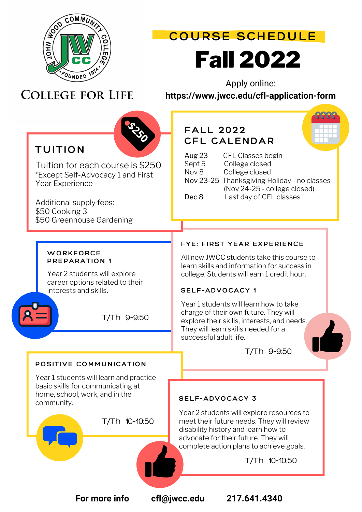

# Fall 2022 **COURSE SCHEDULE**

# **COLLEGE FOR LIFE**

Apply online:

**https://www.jwcc.edu/cfl-application-form**



Additional supply fees: \$50 Cooking 3 \$50 Greenhouse Gardening

### **FALL 2022 CFL CALENDAR**

| TUITION                                                                   |               |                                             |
|---------------------------------------------------------------------------|---------------|---------------------------------------------|
|                                                                           | <b>Aug 23</b> | CFL Classes begin                           |
| Tuition for each course is \$250                                          | Sept 5        | College closed                              |
| *Except Self-Advocacy 1 and First                                         | Nov 8         | College closed                              |
| Year Experience                                                           |               | Nov 23-25 Thanksgiving Holiday - no classes |
|                                                                           |               | (Nov 24-25 - college closed)                |
| $\Lambda$ of all the second contracted to $\mathcal{L}$ and $\mathcal{L}$ | Dec 8         | Last day of CFL classes                     |

#### **WORKFORCE PREPARATION 1**

Year 2 students will explore career options related to their interests and skills.



T/Th 9-9:50

#### **POSITIVE COMMUNICATION**

Year 1 students will learn and practice basic skills for communicating at home, school, work, and in the community.



T/Th 10-10:50

### **FYE: FIRST YEAR EXPERIENCE**

All new JWCC students take this course to learn skills and information for success in college. Students will earn 1 credit hour.

#### **SELF-ADVOCACY 1**

Year 1 students will learn how to take charge of their own future. They will explore their skills, interests, and needs. They will learn skills needed for a successful adult life.

T/Th 9-9:50

#### **SELF-ADVOCACY 3**

Year 2 students will explore resources to meet their future needs. They will review disability history and learn how to advocate for their future. They will complete action plans to achieve goals.

T/Th 10-10:50

**For more info cfl@jwcc.edu 217.641.4340**